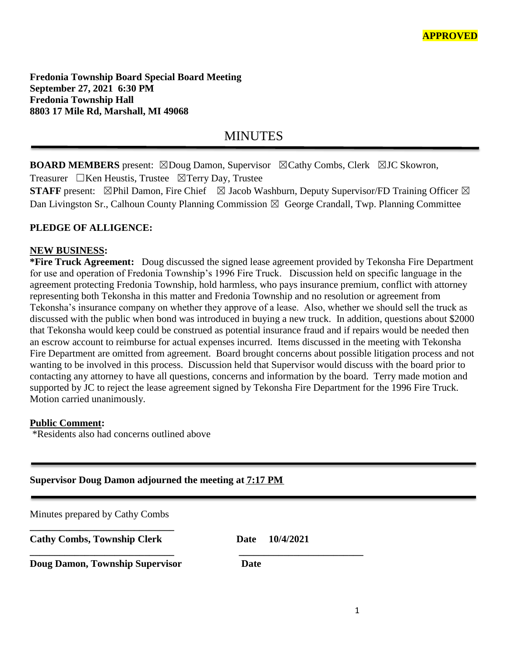**Fredonia Township Board Special Board Meeting September 27, 2021 6:30 PM Fredonia Township Hall 8803 17 Mile Rd, Marshall, MI 49068**

## MINUTES

**BOARD MEMBERS** present: ⊠Doug Damon, Supervisor ⊠Cathy Combs, Clerk ⊠JC Skowron,

Treasurer ☐Ken Heustis, Trustee ☒Terry Day, Trustee

**STAFF** present:  $\boxtimes$ Phil Damon, Fire Chief  $\boxtimes$  Jacob Washburn, Deputy Supervisor/FD Training Officer  $\boxtimes$ Dan Livingston Sr., Calhoun County Planning Commission  $\boxtimes$  George Crandall, Twp. Planning Committee

## **PLEDGE OF ALLIGENCE:**

## **NEW BUSINESS:**

**\*Fire Truck Agreement:** Doug discussed the signed lease agreement provided by Tekonsha Fire Department for use and operation of Fredonia Township's 1996 Fire Truck. Discussion held on specific language in the agreement protecting Fredonia Township, hold harmless, who pays insurance premium, conflict with attorney representing both Tekonsha in this matter and Fredonia Township and no resolution or agreement from Tekonsha's insurance company on whether they approve of a lease. Also, whether we should sell the truck as discussed with the public when bond was introduced in buying a new truck. In addition, questions about \$2000 that Tekonsha would keep could be construed as potential insurance fraud and if repairs would be needed then an escrow account to reimburse for actual expenses incurred. Items discussed in the meeting with Tekonsha Fire Department are omitted from agreement. Board brought concerns about possible litigation process and not wanting to be involved in this process. Discussion held that Supervisor would discuss with the board prior to contacting any attorney to have all questions, concerns and information by the board. Terry made motion and supported by JC to reject the lease agreement signed by Tekonsha Fire Department for the 1996 Fire Truck. Motion carried unanimously.

## **Public Comment:**

\*Residents also had concerns outlined above

|  |  | Supervisor Doug Damon adjourned the meeting at <b>7:17 PM</b> |  |  |
|--|--|---------------------------------------------------------------|--|--|
|  |  |                                                               |  |  |

| Minutes prepared by Cathy Combs        |                   |  |
|----------------------------------------|-------------------|--|
| <b>Cathy Combs, Township Clerk</b>     | 10/4/2021<br>Date |  |
| <b>Doug Damon, Township Supervisor</b> | Date              |  |